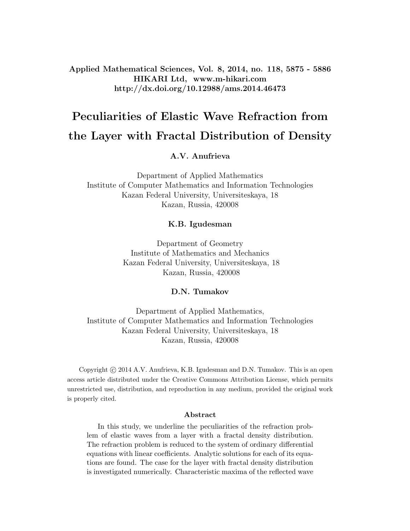Applied Mathematical Sciences, Vol. 8, 2014, no. 118, 5875 - 5886 HIKARI Ltd, www.m-hikari.com http://dx.doi.org/10.12988/ams.2014.46473

# Peculiarities of Elastic Wave Refraction from the Layer with Fractal Distribution of Density

#### A.V. Anufrieva

Department of Applied Mathematics Institute of Computer Mathematics and Information Technologies Kazan Federal University, Universiteskaya, 18 Kazan, Russia, 420008

#### K.B. Igudesman

Department of Geometry Institute of Mathematics and Mechanics Kazan Federal University, Universiteskaya, 18 Kazan, Russia, 420008

#### D.N. Tumakov

Department of Applied Mathematics, Institute of Computer Mathematics and Information Technologies Kazan Federal University, Universiteskaya, 18 Kazan, Russia, 420008

Copyright © 2014 A.V. Anufrieva, K.B. Igudesman and D.N. Tumakov. This is an open access article distributed under the Creative Commons Attribution License, which permits unrestricted use, distribution, and reproduction in any medium, provided the original work is properly cited.

#### Abstract

In this study, we underline the peculiarities of the refraction problem of elastic waves from a layer with a fractal density distribution. The refraction problem is reduced to the system of ordinary differential equations with linear coefficients. Analytic solutions for each of its equations are found. The case for the layer with fractal density distribution is investigated numerically. Characteristic maxima of the reflected wave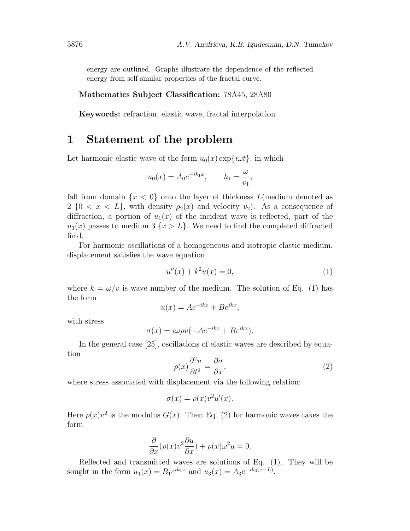energy are outlined. Graphs illustrate the dependence of the reflected energy from self-similar properties of the fractal curve.

#### Mathematics Subject Classification: 78A45, 28A80

Keywords: refraction, elastic wave, fractal interpolation

### 1 Statement of the problem

Let harmonic elastic wave of the form  $u_0(x) \exp\{i\omega t\}$ , in which

$$
u_0(x) = A_0 e^{-ik_1 x}, \qquad k_1 = \frac{\omega}{v_1},
$$

fall from domain  $\{x < 0\}$  onto the layer of thickness  $L$ (medium denoted as  $2 \{0 \le x \le L\}$ , with density  $\rho_2(x)$  and velocity  $v_2$ ). As a consequence of diffraction, a portion of  $u_1(x)$  of the incident wave is reflected, part of the  $u_3(x)$  passes to medium 3  $\{x > L\}$ . We need to find the completed diffracted field.

For harmonic oscillations of a homogeneous and isotropic elastic medium, displacement satisfies the wave equation

$$
u''(x) + k^2 u(x) = 0,\t\t(1)
$$

where  $k = \omega/v$  is wave number of the medium. The solution of Eq. (1) has the form

$$
u(x) = Ae^{-ikx} + Be^{ikx},
$$

with stress

$$
\sigma(x) = i\omega \rho v(-Ae^{-ikx} + Be^{ikx}).
$$

In the general case [25], oscillations of elastic waves are described by equation

$$
\rho(x)\frac{\partial^2 u}{\partial t^2} = \frac{\partial \sigma}{\partial x},\tag{2}
$$

where stress associated with displacement via the following relation:

$$
\sigma(x) = \rho(x)v^2 u'(x).
$$

Here  $\rho(x)v^2$  is the modulus  $G(x)$ . Then Eq. (2) for harmonic waves takes the form

$$
\frac{\partial}{\partial x}(\rho(x)v^2\frac{\partial u}{\partial x}) + \rho(x)\omega^2 u = 0.
$$

Reflected and transmitted waves are solutions of Eq. (1). They will be sought in the form  $u_1(x) = B_1 e^{ik_1x}$  and  $u_3(x) = A_3 e^{-ik_3(x-L)}$ .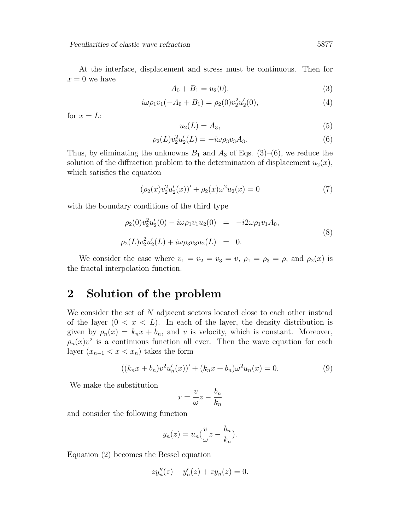At the interface, displacement and stress must be continuous. Then for  $x = 0$  we have

$$
A_0 + B_1 = u_2(0), \t\t(3)
$$

$$
i\omega \rho_1 v_1(-A_0 + B_1) = \rho_2(0) v_2^2 u_2'(0), \qquad (4)
$$

for  $x = L$ :

$$
u_2(L) = A_3,\tag{5}
$$

$$
\rho_2(L)v_2^2 u_2'(L) = -i\omega \rho_3 v_3 A_3. \tag{6}
$$

Thus, by eliminating the unknowns  $B_1$  and  $A_3$  of Eqs. (3)–(6), we reduce the solution of the diffraction problem to the determination of displacement  $u_2(x)$ , which satisfies the equation

$$
(\rho_2(x)v_2^2u_2'(x))' + \rho_2(x)\omega^2u_2(x) = 0
$$
\n(7)

with the boundary conditions of the third type

$$
\rho_2(0)v_2^2 u_2'(0) - i\omega \rho_1 v_1 u_2(0) = -i2\omega \rho_1 v_1 A_0,
$$
  
\n
$$
\rho_2(L)v_2^2 u_2'(L) + i\omega \rho_3 v_3 u_2(L) = 0.
$$
\n(8)

We consider the case where  $v_1 = v_2 = v_3 = v$ ,  $\rho_1 = \rho_3 = \rho$ , and  $\rho_2(x)$  is the fractal interpolation function.

### 2 Solution of the problem

We consider the set of N adjacent sectors located close to each other instead of the layer  $(0 < x < L)$ . In each of the layer, the density distribution is given by  $\rho_n(x) = k_n x + b_n$ , and v is velocity, which is constant. Moreover,  $\rho_n(x)v^2$  is a continuous function all ever. Then the wave equation for each layer  $(x_{n-1} < x < x_n)$  takes the form

$$
((k_nx + b_n)v^2u'_n(x))' + (k_nx + b_n)\omega^2u_n(x) = 0.
$$
\n(9)

We make the substitution

$$
x = \frac{v}{\omega}z - \frac{b_n}{k_n}
$$

and consider the following function

$$
y_n(z) = u_n(\frac{\nu}{\omega}z - \frac{b_n}{k_n}).
$$

Equation (2) becomes the Bessel equation

$$
zy''_n(z) + y'_n(z) + zy_n(z) = 0.
$$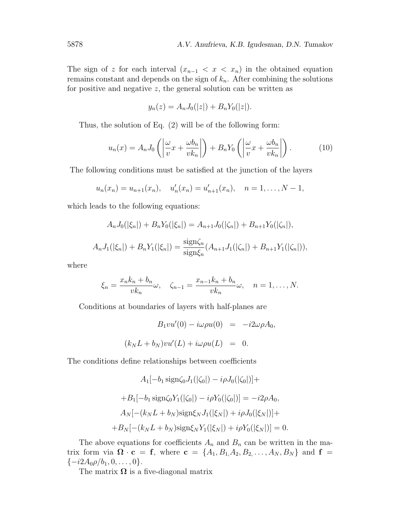The sign of z for each interval  $(x_{n-1} < x < x_n)$  in the obtained equation remains constant and depends on the sign of  $k_n$ . After combining the solutions for positive and negative  $z$ , the general solution can be written as

$$
y_n(z) = A_n J_0(|z|) + B_n Y_0(|z|).
$$

Thus, the solution of Eq. (2) will be of the following form:

$$
u_n(x) = A_n J_0 \left( \left| \frac{\omega}{v} x + \frac{\omega b_n}{vk_n} \right| \right) + B_n Y_0 \left( \left| \frac{\omega}{v} x + \frac{\omega b_n}{vk_n} \right| \right). \tag{10}
$$

The following conditions must be satisfied at the junction of the layers

$$
u_n(x_n) = u_{n+1}(x_n),
$$
  $u'_n(x_n) = u'_{n+1}(x_n),$   $n = 1,..., N - 1,$ 

which leads to the following equations:

$$
A_n J_0(|\xi_n|) + B_n Y_0(|\xi_n|) = A_{n+1} J_0(|\zeta_n|) + B_{n+1} Y_0(|\zeta_n|),
$$
  

$$
A_n J_1(|\xi_n|) + B_n Y_1(|\xi_n|) = \frac{\text{sign}\zeta_n}{\text{sign}\zeta_n} (A_{n+1} J_1(|\zeta_n|) + B_{n+1} Y_1(|\zeta_n|)),
$$

where

$$
\xi_n = \frac{x_n k_n + b_n}{vk_n} \omega, \quad \zeta_{n-1} = \frac{x_{n-1} k_n + b_n}{vk_n} \omega, \quad n = 1, \dots, N.
$$

Conditions at boundaries of layers with half-planes are

$$
B_1vu'(0) - i\omega\rho u(0) = -i2\omega\rho A_0,
$$
  

$$
(k_N L + b_N)vu'(L) + i\omega\rho u(L) = 0.
$$

The conditions define relationships between coefficients

$$
A_1[-b_1 \text{ sign}\zeta_0 J_1(|\zeta_0|) - i\rho J_0(|\zeta_0|)] +
$$
  
+
$$
B_1[-b_1 \text{ sign}\zeta_0 Y_1(|\zeta_0|) - i\rho Y_0(|\zeta_0|)] = -i2\rho A_0,
$$
  

$$
A_N[-(k_N L + b_N) \text{sign}\zeta_N J_1(|\zeta_N|) + i\rho J_0(|\zeta_N|)] +
$$
  
+
$$
B_N[-(k_N L + b_N) \text{sign}\zeta_N Y_1(|\zeta_N|) + i\rho Y_0(|\zeta_N|)] = 0.
$$

The above equations for coefficients  $A_n$  and  $B_n$  can be written in the matrix form via  $\mathbf{\Omega} \cdot \mathbf{c} = \mathbf{f}$ , where  $\mathbf{c} = \{A_1, B_1, A_2, B_2, \ldots, A_N, B_N\}$  and  $\mathbf{f} =$  ${-i2A_0\rho/b_1, 0, \ldots, 0}.$ 

The matrix  $\Omega$  is a five-diagonal matrix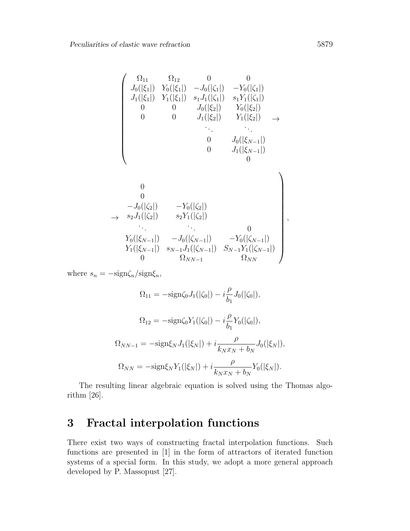$$
\begin{pmatrix}\n\Omega_{11} & \Omega_{12} & 0 & 0 \\
J_0(|\xi_1|) & Y_0(|\xi_1|) & -J_0(|\zeta_1|) & -Y_0(|\zeta_1|) \\
J_1(|\xi_1|) & Y_1(|\xi_1|) & s_1J_1(|\zeta_1|) & s_1Y_1(|\zeta_1|) \\
0 & 0 & J_0(|\xi_2|) & Y_0(|\xi_2|) \\
0 & 0 & J_1(|\xi_2|) & Y_1(|\xi_2|) & \rightarrow \\
& \ddots & \ddots & \ddots & \vdots \\
0 & J_0(|\xi_{N-1}|) & 0 & J_1(|\xi_{N-1}|) \\
0 & 0 & J_1(|\xi_{N-1}|) & 0\n\end{pmatrix}
$$
\n
$$
\rightarrow s_2 J_1(|\zeta_2|) \quad s_2 Y_1(|\zeta_2|) \quad s_2 Y_1(|\zeta_2|) \quad s_1 Y_1(|\zeta_{N-1}|) \quad t_1(|\xi_{N-1}|) \quad t_2 |(\zeta_{N-1}|) \quad t_2 |(\zeta_{N-1}|) \quad t_2 |(\zeta_{N-1}|) \quad t_2 |(\zeta_{N-1}|) \quad t_2 |(\zeta_{N-1}|) \quad t_2 |(\zeta_{N-1}|) \quad t_2 |(\zeta_{N-1}|) \quad t_2 |(\zeta_{N-1}|) \quad t_2 |(\zeta_{N-1}|) \quad t_2 |(\zeta_{N-1}|) \quad t_2 |(\zeta_{N-1}|) \quad t_2 |(\zeta_{N-1}|) \quad t_2 |(\zeta_{N-1}|) \quad t_2 |(\zeta_{N-1}|) \quad t_2 |(\zeta_{N-1}|) \quad t_2 |(\zeta_{N-1}|) \quad t_2 |(\zeta_{N-1}|) \quad t_2 |(\zeta_{N-1}|) \quad t_2 |(\zeta_{N-1}|) \quad t_2 |(\zeta_{N-1}|) \quad t_2 |(\zeta_{N-1}|) \quad t_2 |(\zeta_{N-1}|) \quad t_2 |(\zeta_{N-1}|) \quad t_2 |(\zeta_{N-1}|) \quad t_2 |(\zeta_{N-1}|) \quad t_2 |(\zeta_{N-1}|) \quad t_2 |(\zeta_{N-1}|) \quad t_2 |(\z
$$

where  $s_n = -\text{sign}\zeta_n/\text{sign}\xi_n$ ,

$$
\Omega_{11} = -\text{sign}\zeta_0 J_1(|\zeta_0|) - i\frac{\rho}{b_1} J_0(|\zeta_0|),
$$
  

$$
\Omega_{12} = -\text{sign}\zeta_0 Y_1(|\zeta_0|) - i\frac{\rho}{b_1} Y_0(|\zeta_0|),
$$
  

$$
\Omega_{NN-1} = -\text{sign}\zeta_N J_1(|\zeta_N|) + i\frac{\rho}{k_N x_N + b_N} J_0(|\zeta_N|),
$$
  

$$
\Omega_{NN} = -\text{sign}\zeta_N Y_1(|\zeta_N|) + i\frac{\rho}{k_N x_N + b_N} Y_0(|\zeta_N|).
$$

The resulting linear algebraic equation is solved using the Thomas algorithm [26].

## 3 Fractal interpolation functions

There exist two ways of constructing fractal interpolation functions. Such functions are presented in [1] in the form of attractors of iterated function systems of a special form. In this study, we adopt a more general approach developed by P. Massopust [27].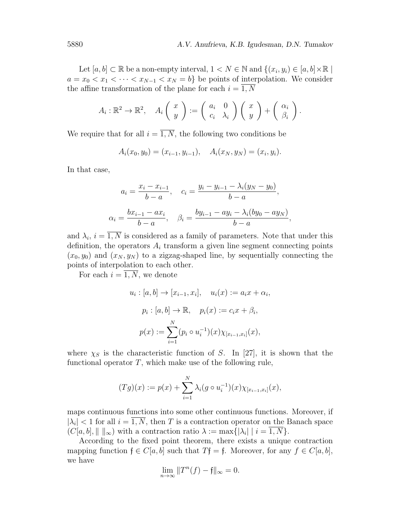Let  $[a, b] \subset \mathbb{R}$  be a non-empty interval,  $1 \lt N \in \mathbb{N}$  and  $\{(x_i, y_i) \in [a, b] \times \mathbb{R} \mid$  $a = x_0 < x_1 < \cdots < x_{N-1} < x_N = b$  be points of interpolation. We consider the affine transformation of the plane for each  $i = \overline{1, N}$ 

$$
A_i: \mathbb{R}^2 \to \mathbb{R}^2, \quad A_i\left(\begin{array}{c} x \\ y \end{array}\right) := \left(\begin{array}{cc} a_i & 0 \\ c_i & \lambda_i \end{array}\right) \left(\begin{array}{c} x \\ y \end{array}\right) + \left(\begin{array}{c} \alpha_i \\ \beta_i \end{array}\right).
$$

We require that for all  $i = \overline{1, N}$ , the following two conditions be

$$
A_i(x_0, y_0) = (x_{i-1}, y_{i-1}), \quad A_i(x_N, y_N) = (x_i, y_i).
$$

In that case,

$$
a_i = \frac{x_i - x_{i-1}}{b-a}, \quad c_i = \frac{y_i - y_{i-1} - \lambda_i(y_N - y_0)}{b-a},
$$
  

$$
\alpha_i = \frac{bx_{i-1} - ax_i}{b-a}, \quad \beta_i = \frac{by_{i-1} - ay_i - \lambda_i(by_0 - ay_N)}{b-a},
$$

and  $\lambda_i$ ,  $i = 1, N$  is considered as a family of parameters. Note that under this definition, the operators  $A_i$  transform a given line segment connecting points  $(x_0, y_0)$  and  $(x_N, y_N)$  to a zigzag-shaped line, by sequentially connecting the points of interpolation to each other.

For each  $i = \overline{1, N}$ , we denote

$$
u_i : [a, b] \to [x_{i-1}, x_i], \quad u_i(x) := a_i x + \alpha_i,
$$
  

$$
p_i : [a, b] \to \mathbb{R}, \quad p_i(x) := c_i x + \beta_i,
$$
  

$$
p(x) := \sum_{i=1}^N (p_i \circ u_i^{-1})(x) \chi_{[x_{i-1}, x_i]}(x),
$$

where  $\chi_S$  is the characteristic function of S. In [27], it is shown that the functional operator  $T$ , which make use of the following rule,

$$
(Tg)(x) := p(x) + \sum_{i=1}^{N} \lambda_i (g \circ u_i^{-1})(x) \chi_{[x_{i-1}, x_i]}(x),
$$

maps continuous functions into some other continuous functions. Moreover, if  $|\lambda_i|$  < 1 for all  $i = \overline{1, N}$ , then T is a contraction operator on the Banach space  $(C[a, b], || ||_{\infty})$  with a contraction ratio  $\lambda := \max\{|\lambda_i| \mid i = 1, N\}.$ 

According to the fixed point theorem, there exists a unique contraction mapping function  $f \in C[a, b]$  such that  $Tf = f$ . Moreover, for any  $f \in C[a, b]$ , we have

$$
\lim_{n \to \infty} ||T^n(f) - f||_{\infty} = 0.
$$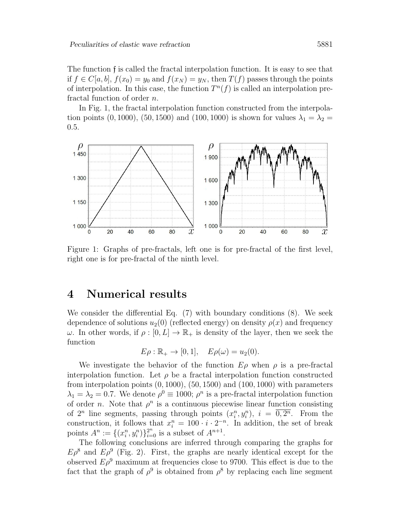The function f is called the fractal interpolation function. It is easy to see that if  $f \in C[a, b], f(x_0) = y_0$  and  $f(x_N) = y_N$ , then  $T(f)$  passes through the points of interpolation. In this case, the function  $T^n(f)$  is called an interpolation prefractal function of order n.

In Fig. 1, the fractal interpolation function constructed from the interpolation points (0, 1000), (50, 1500) and (100, 1000) is shown for values  $\lambda_1 = \lambda_2 =$ 0.5.



Figure 1: Graphs of pre-fractals, left one is for pre-fractal of the first level, right one is for pre-fractal of the ninth level.

### 4 Numerical results

We consider the differential Eq. (7) with boundary conditions (8). We seek dependence of solutions  $u_2(0)$  (reflected energy) on density  $\rho(x)$  and frequency  $ω$ . In other words, if  $ρ : [0, L] \to \mathbb{R}_+$  is density of the layer, then we seek the function

$$
E\rho : \mathbb{R}_+ \to [0,1], \quad E\rho(\omega) = u_2(0).
$$

We investigate the behavior of the function  $E\rho$  when  $\rho$  is a pre-fractal interpolation function. Let  $\rho$  be a fractal interpolation function constructed from interpolation points  $(0, 1000)$ ,  $(50, 1500)$  and  $(100, 1000)$  with parameters  $\lambda_1 = \lambda_2 = 0.7$ . We denote  $\rho^0 \equiv 1000$ ;  $\rho^n$  is a pre-fractal interpolation function of order *n*. Note that  $\rho^n$  is a continuous piecewise linear function consisting of  $2^n$  line segments, passing through points  $(x_i^n, y_i^n)$ ,  $i = \overline{0, 2^n}$ . From the construction, it follows that  $x_i^n = 100 \cdot i \cdot 2^{-n}$ . In addition, the set of break points  $A^n := \{(x_i^n, y_i^n)\}_{i=0}^{2^n}$  is a subset of  $A^{n+1}$ .

The following conclusions are inferred through comparing the graphs for  $E\rho^8$  and  $E\rho^9$  (Fig. 2). First, the graphs are nearly identical except for the observed  $E\rho^9$  maximum at frequencies close to 9700. This effect is due to the fact that the graph of  $\rho^9$  is obtained from  $\rho^8$  by replacing each line segment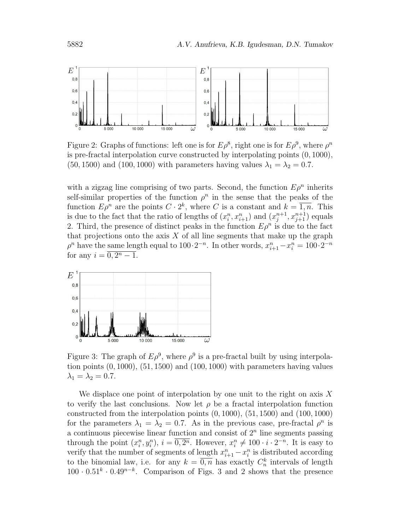

Figure 2: Graphs of functions: left one is for  $E\rho^8$ , right one is for  $E\rho^9$ , where  $\rho^n$ is pre-fractal interpolation curve constructed by interpolating points (0, 1000),  $(50, 1500)$  and  $(100, 1000)$  with parameters having values  $\lambda_1 = \lambda_2 = 0.7$ .

with a zigzag line comprising of two parts. Second, the function  $E\rho^{n}$  inherits self-similar properties of the function  $\rho^n$  in the sense that the peaks of the function  $E\rho^n$  are the points  $C \cdot 2^k$ , where C is a constant and  $k = \overline{1,n}$ . This is due to the fact that the ratio of lengths of  $(x_i^n, x_{i+1}^n)$  and  $(x_j^{n+1})$  $j^{n+1}, x_{j+1}^{n+1}$  equals 2. Third, the presence of distinct peaks in the function  $E\rho^n$  is due to the fact that projections onto the axis  $X$  of all line segments that make up the graph  $\rho^n$  have the same length equal to  $100 \cdot 2^{-n}$ . In other words,  $x_{i+1}^n - x_i^n = 100 \cdot 2^{-n}$ for any  $i = \overline{0, 2^n - 1}.$ 



Figure 3: The graph of  $E\rho^9$ , where  $\rho^9$  is a pre-fractal built by using interpolation points  $(0, 1000)$ ,  $(51, 1500)$  and  $(100, 1000)$  with parameters having values  $\lambda_1 = \lambda_2 = 0.7$ .

We displace one point of interpolation by one unit to the right on axis  $X$ to verify the last conclusions. Now let  $\rho$  be a fractal interpolation function constructed from the interpolation points  $(0, 1000)$ ,  $(51, 1500)$  and  $(100, 1000)$ for the parameters  $\lambda_1 = \lambda_2 = 0.7$ . As in the previous case, pre-fractal  $\rho^n$  is a continuous piecewise linear function and consist of  $2<sup>n</sup>$  line segments passing through the point  $(x_i^n, y_i^n)$ ,  $i = \overline{0, 2^n}$ . However,  $x_i^n \neq 100 \cdot i \cdot 2^{-n}$ . It is easy to verify that the number of segments of length  $x_{i+1}^n - x_i^n$  is distributed according to the binomial law, i.e. for any  $k = \overline{0,n}$  has exactly  $C_n^k$  intervals of length  $100 \cdot 0.51^k \cdot 0.49^{n-k}$ . Comparison of Figs. 3 and 2 shows that the presence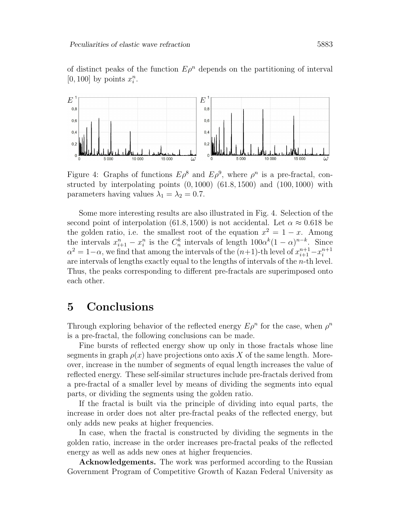

Figure 4: Graphs of functions  $E\rho^8$  and  $E\rho^9$ , where  $\rho^n$  is a pre-fractal, constructed by interpolating points  $(0, 1000)$   $(61.8, 1500)$  and  $(100, 1000)$  with parameters having values  $\lambda_1 = \lambda_2 = 0.7$ .

Some more interesting results are also illustrated in Fig. 4. Selection of the second point of interpolation (61.8, 1500) is not accidental. Let  $\alpha \approx 0.618$  be the golden ratio, i.e. the smallest root of the equation  $x^2 = 1 - x$ . Among the intervals  $x_{i+1}^n - x_i^n$  is the  $C_n^k$  intervals of length  $100\alpha^k(1-\alpha)^{n-k}$ . Since  $\alpha^2 = 1 - \alpha$ , we find that among the intervals of the  $(n+1)$ -th level of  $x_{i+1}^{n+1} - x_i^{n+1}$ i are intervals of lengths exactly equal to the lengths of intervals of the n-th level. Thus, the peaks corresponding to different pre-fractals are superimposed onto each other.

### 5 Conclusions

Through exploring behavior of the reflected energy  $E\rho^n$  for the case, when  $\rho^n$ is a pre-fractal, the following conclusions can be made.

Fine bursts of reflected energy show up only in those fractals whose line segments in graph  $\rho(x)$  have projections onto axis X of the same length. Moreover, increase in the number of segments of equal length increases the value of reflected energy. These self-similar structures include pre-fractals derived from a pre-fractal of a smaller level by means of dividing the segments into equal parts, or dividing the segments using the golden ratio.

If the fractal is built via the principle of dividing into equal parts, the increase in order does not alter pre-fractal peaks of the reflected energy, but only adds new peaks at higher frequencies.

In case, when the fractal is constructed by dividing the segments in the golden ratio, increase in the order increases pre-fractal peaks of the reflected energy as well as adds new ones at higher frequencies.

Acknowledgements. The work was performed according to the Russian Government Program of Competitive Growth of Kazan Federal University as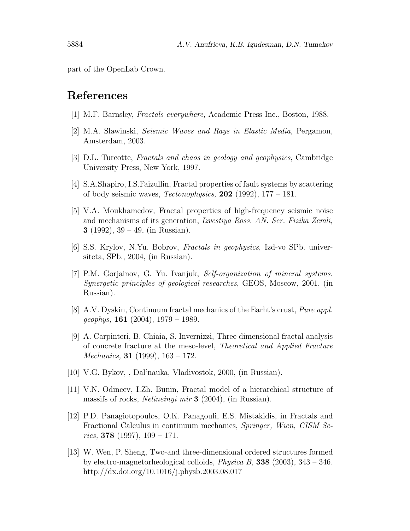part of the OpenLab Crown.

### References

- [1] M.F. Barnsley, Fractals everywhere, Academic Press Inc., Boston, 1988.
- [2] M.A. Slawinski, Seismic Waves and Rays in Elastic Media, Pergamon, Amsterdam, 2003.
- [3] D.L. Turcotte, Fractals and chaos in geology and geophysics, Cambridge University Press, New York, 1997.
- [4] S.A.Shapiro, I.S.Faizullin, Fractal properties of fault systems by scattering of body seismic waves, *Tectonophysics*, **202** (1992),  $177 - 181$ .
- [5] V.A. Moukhamedov, Fractal properties of high-frequency seismic noise and mechanisms of its generation, Izvestiya Ross. AN. Ser. Fizika Zemli, 3 (1992),  $39 - 49$ , (in Russian).
- [6] S.S. Krylov, N.Yu. Bobrov, Fractals in geophysics, Izd-vo SPb. universiteta, SPb., 2004, (in Russian).
- [7] P.M. Gorjainov, G. Yu. Ivanjuk, Self-organization of mineral systems. Synergetic principles of geological researches, GEOS, Moscow, 2001, (in Russian).
- [8] A.V. Dyskin, Continuum fractal mechanics of the Earht's crust, Pure appl.  $geophys, 161 (2004), 1979 - 1989.$
- [9] A. Carpinteri, B. Chiaia, S. Invernizzi, Three dimensional fractal analysis of concrete fracture at the meso-level, Theoretical and Applied Fracture *Mechanics*, **31** (1999),  $163 - 172$ .
- [10] V.G. Bykov, , Dal'nauka, Vladivostok, 2000, (in Russian).
- [11] V.N. Odincev, I.Zh. Bunin, Fractal model of a hierarchical structure of massifs of rocks, Nelineinyi mir 3 (2004), (in Russian).
- [12] P.D. Panagiotopoulos, O.K. Panagouli, E.S. Mistakidis, in Fractals and Fractional Calculus in continuum mechanics, Springer, Wien, CISM Series, 378 (1997),  $109 - 171$ .
- [13] W. Wen, P. Sheng, Two-and three-dimensional ordered structures formed by electro-magnetorheological colloids, *Physica B*, **338** (2003),  $343 - 346$ . http://dx.doi.org/10.1016/j.physb.2003.08.017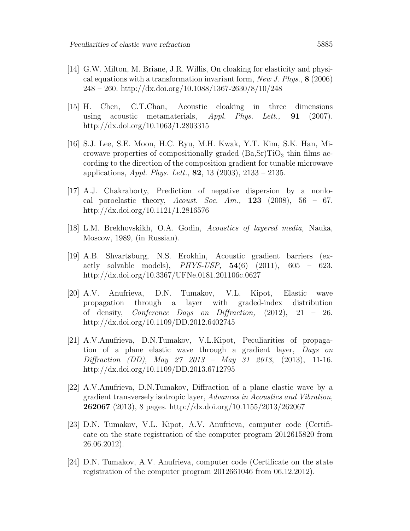- [14] G.W. Milton, M. Briane, J.R. Willis, On cloaking for elasticity and physical equations with a transformation invariant form, New J. Phys.,  $8$  (2006) 248 – 260. http://dx.doi.org/10.1088/1367-2630/8/10/248
- [15] H. Chen, C.T.Chan, Acoustic cloaking in three dimensions using acoustic metamaterials,  $Appl. Phys. Let t., \mathbf{91} (2007).$ http://dx.doi.org/10.1063/1.2803315
- [16] S.J. Lee, S.E. Moon, H.C. Ryu, M.H. Kwak, Y.T. Kim, S.K. Han, Microwave properties of compositionally graded  $(Ba, Sr)TiO<sub>3</sub>$  thin films according to the direction of the composition gradient for tunable microwave applications, *Appl. Phys. Lett.*, **82**, 13 (2003), 2133 – 2135.
- [17] A.J. Chakraborty, Prediction of negative dispersion by a nonlocal poroelastic theory, Acoust. Soc. Am.,  $123$  (2008),  $56 - 67$ . http://dx.doi.org/10.1121/1.2816576
- [18] L.M. Brekhovskikh, O.A. Godin, Acoustics of layered media, Nauka, Moscow, 1989, (in Russian).
- [19] A.B. Shvartsburg, N.S. Erokhin, Acoustic gradient barriers (exactly solvable models), *PHYS-USP*,  $54(6)$   $(2011)$ ,  $605 - 623$ . http://dx.doi.org/10.3367/UFNe.0181.201106c.0627
- [20] A.V. Anufrieva, D.N. Tumakov, V.L. Kipot, Elastic wave propagation through a layer with graded-index distribution of density, Conference Days on Diffraction, (2012), 21 – 26. http://dx.doi.org/10.1109/DD.2012.6402745
- [21] A.V.Anufrieva, D.N.Tumakov, V.L.Kipot, Peculiarities of propagation of a plane elastic wave through a gradient layer, Days on Diffraction (DD), May 27 2013 – May 31 2013, (2013), 11-16. http://dx.doi.org/10.1109/DD.2013.6712795
- [22] A.V.Anufrieva, D.N.Tumakov, Diffraction of a plane elastic wave by a gradient transversely isotropic layer, Advances in Acoustics and Vibration, **262067** (2013), 8 pages. http://dx.doi.org/10.1155/2013/262067
- [23] D.N. Tumakov, V.L. Kipot, A.V. Anufrieva, computer code (Certificate on the state registration of the computer program 2012615820 from 26.06.2012).
- [24] D.N. Tumakov, A.V. Anufrieva, computer code (Certificate on the state registration of the computer program 2012661046 from 06.12.2012).